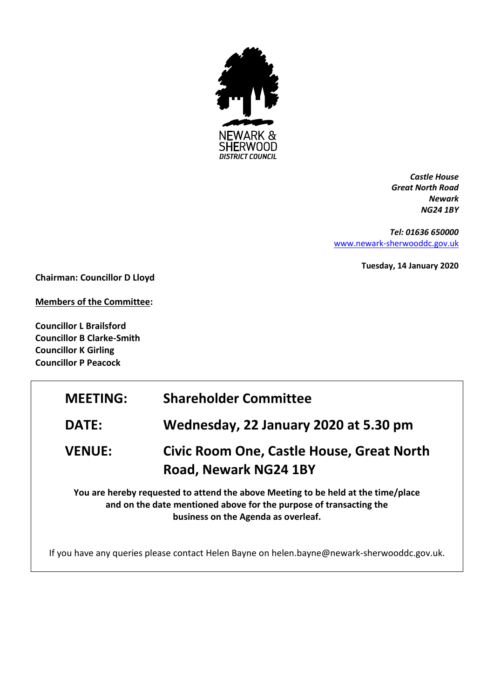

*Castle House Great North Road Newark NG24 1BY*

*Tel: 01636 650000* [www.newark-sherwooddc.gov.uk](http://www.newark-sherwooddc.gov.uk/)

**Tuesday, 14 January 2020**

**Chairman: Councillor D Lloyd**

**Members of the Committee:**

**Councillor L Brailsford Councillor B Clarke-Smith Councillor K Girling Councillor P Peacock**

| <b>MEETING:</b> | <b>Shareholder Committee</b>                                                                                                                                                                   |
|-----------------|------------------------------------------------------------------------------------------------------------------------------------------------------------------------------------------------|
| <b>DATE:</b>    | Wednesday, 22 January 2020 at 5.30 pm                                                                                                                                                          |
| <b>VENUE:</b>   | <b>Civic Room One, Castle House, Great North</b><br>Road, Newark NG24 1BY                                                                                                                      |
|                 | You are hereby requested to attend the above Meeting to be held at the time/place<br>and on the date mentioned above for the purpose of transacting the<br>business on the Agenda as overleaf. |
|                 | If you have any queries please contact Helen Bayne on helen.bayne@newark-sherwooddc.gov.uk.                                                                                                    |